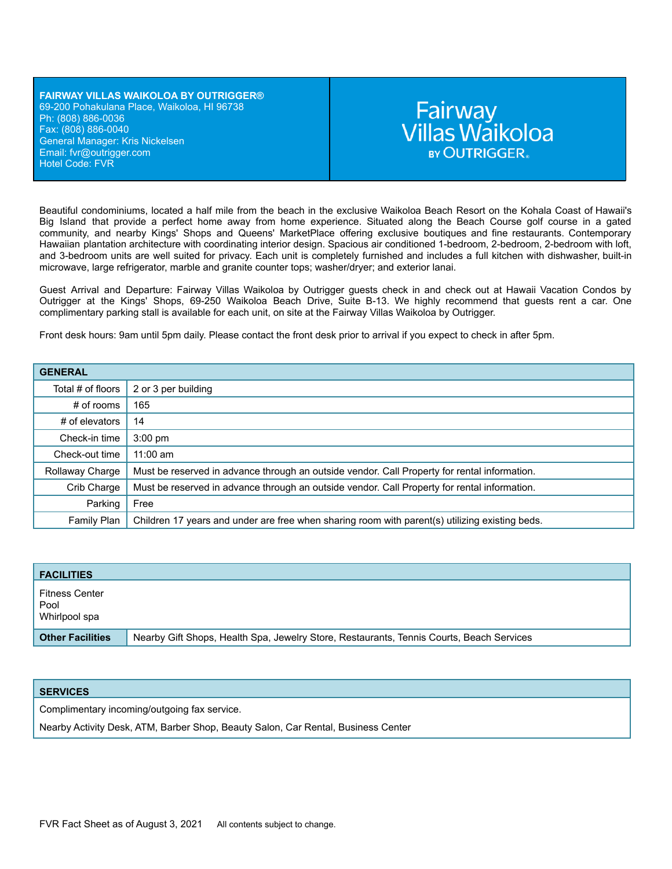#### **FAIRWAY VILLAS WAIKOLOA BY OUTRIGGER®** 69-200 Pohakulana Place, Waikoloa, HI 96738 Ph: (808) 886-0036 Fax: (808) 886-0040 General Manager: Kris Nickelsen Email: fvr[@outrigger.com](mailto:orf@outrigger.com) Hotel Code: FVR

# Fairway<br>Villas Waikoloa **BY OUTRIGGER.**

Beautiful condominiums, located a half mile from the beach in the exclusive Waikoloa Beach Resort on the Kohala Coast of Hawaii's Big Island that provide a perfect home away from home experience. Situated along the Beach Course golf course in a gated community, and nearby Kings' Shops and Queens' MarketPlace offering exclusive boutiques and fine restaurants. Contemporary Hawaiian plantation architecture with coordinating interior design. Spacious air conditioned 1-bedroom, 2-bedroom, 2-bedroom with loft, and 3-bedroom units are well suited for privacy. Each unit is completely furnished and includes a full kitchen with dishwasher, built-in microwave, large refrigerator, marble and granite counter tops; washer/dryer; and exterior lanai.

Guest Arrival and Departure: Fairway Villas Waikoloa by Outrigger guests check in and check out at Hawaii Vacation Condos by Outrigger at the Kings' Shops, 69-250 Waikoloa Beach Drive, Suite B-13. We highly recommend that guests rent a car. One complimentary parking stall is available for each unit, on site at the Fairway Villas Waikoloa by Outrigger.

Front desk hours: 9am until 5pm daily. Please contact the front desk prior to arrival if you expect to check in after 5pm.

| <b>GENERAL</b>    |                                                                                                |
|-------------------|------------------------------------------------------------------------------------------------|
| Total # of floors | 2 or 3 per building                                                                            |
| $#$ of rooms      | 165                                                                                            |
| # of elevators    | 14                                                                                             |
| Check-in time     | $3:00$ pm                                                                                      |
| Check-out time    | $11:00$ am                                                                                     |
| Rollaway Charge   | Must be reserved in advance through an outside vendor. Call Property for rental information.   |
| Crib Charge       | Must be reserved in advance through an outside vendor. Call Property for rental information.   |
| Parking           | Free                                                                                           |
| Family Plan       | Children 17 years and under are free when sharing room with parent(s) utilizing existing beds. |

| <b>FACILITIES</b>                              |                                                                                          |
|------------------------------------------------|------------------------------------------------------------------------------------------|
| <b>Fitness Center</b><br>Pool<br>Whirlpool spa |                                                                                          |
| <b>Other Facilities</b>                        | Nearby Gift Shops, Health Spa, Jewelry Store, Restaurants, Tennis Courts, Beach Services |

| <b>SERVICES</b>                                                                   |
|-----------------------------------------------------------------------------------|
| Complimentary incoming/outgoing fax service.                                      |
| Nearby Activity Desk, ATM, Barber Shop, Beauty Salon, Car Rental, Business Center |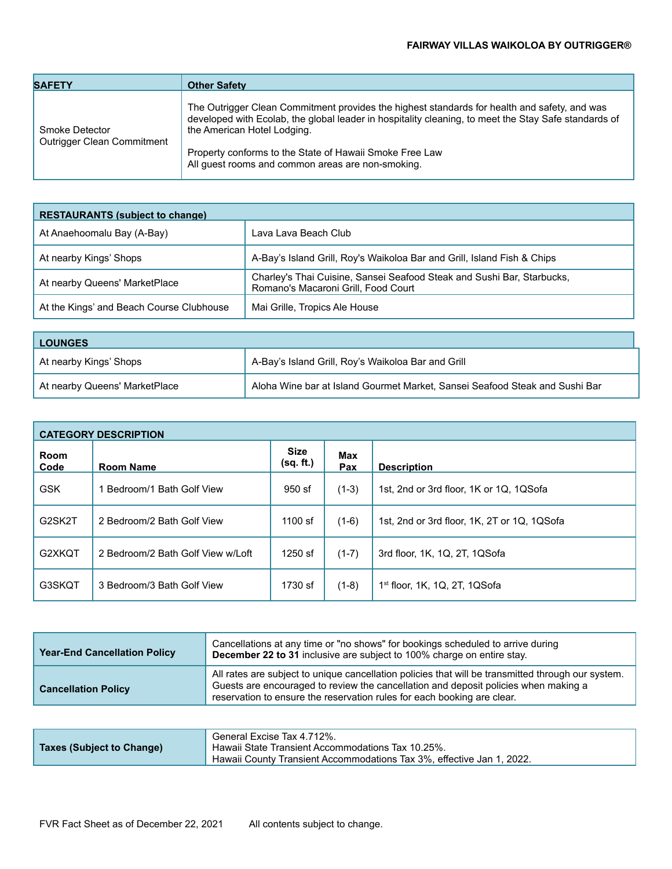## **FAIRWAY VILLAS WAIKOLOA BY OUTRIGGER®**

| <b>SAFETY</b>                                | <b>Other Safety</b>                                                                                                                                                                                                                                                                                                                                 |
|----------------------------------------------|-----------------------------------------------------------------------------------------------------------------------------------------------------------------------------------------------------------------------------------------------------------------------------------------------------------------------------------------------------|
| Smoke Detector<br>Outrigger Clean Commitment | The Outrigger Clean Commitment provides the highest standards for health and safety, and was<br>developed with Ecolab, the global leader in hospitality cleaning, to meet the Stay Safe standards of<br>the American Hotel Lodging.<br>Property conforms to the State of Hawaii Smoke Free Law<br>All guest rooms and common areas are non-smoking. |

| <b>RESTAURANTS (subject to change)</b>   |                                                                                                               |  |
|------------------------------------------|---------------------------------------------------------------------------------------------------------------|--|
| At Anaehoomalu Bay (A-Bay)               | Lava Lava Beach Club                                                                                          |  |
| At nearby Kings' Shops                   | A-Bay's Island Grill, Roy's Waikoloa Bar and Grill, Island Fish & Chips                                       |  |
| At nearby Queens' MarketPlace            | Charley's Thai Cuisine, Sansei Seafood Steak and Sushi Bar, Starbucks,<br>Romano's Macaroni Grill, Food Court |  |
| At the Kings' and Beach Course Clubhouse | Mai Grille, Tropics Ale House                                                                                 |  |

| <b>LOUNGES</b>                |                                                                             |  |
|-------------------------------|-----------------------------------------------------------------------------|--|
| At nearby Kings' Shops        | A-Bay's Island Grill, Roy's Waikoloa Bar and Grill                          |  |
| At nearby Queens' MarketPlace | Aloha Wine bar at Island Gourmet Market, Sansei Seafood Steak and Sushi Bar |  |

| <b>CATEGORY DESCRIPTION</b> |                                   |                          |            |                                             |
|-----------------------------|-----------------------------------|--------------------------|------------|---------------------------------------------|
| Room<br>Code                | <b>Room Name</b>                  | <b>Size</b><br>(sq. ft.) | Max<br>Pax | <b>Description</b>                          |
| <b>GSK</b>                  | Bedroom/1 Bath Golf View          | 950 sf                   | $(1-3)$    | 1st, 2nd or 3rd floor, 1K or 1Q, 1QSofa     |
| G2SK2T                      | 2 Bedroom/2 Bath Golf View        | $1100$ sf                | $(1-6)$    | 1st, 2nd or 3rd floor, 1K, 2T or 1Q, 1QSofa |
| G2XKQT                      | 2 Bedroom/2 Bath Golf View w/Loft | $1250$ sf                | $(1-7)$    | 3rd floor, 1K, 1Q, 2T, 1QSofa               |
| G3SKQT                      | 3 Bedroom/3 Bath Golf View        | 1730 sf                  | $(1-8)$    | $1st$ floor, 1K, 1Q, 2T, 1QSofa             |

| <b>Year-End Cancellation Policy</b> | Cancellations at any time or "no shows" for bookings scheduled to arrive during<br>December 22 to 31 inclusive are subject to 100% charge on entire stay.                                                                                                            |
|-------------------------------------|----------------------------------------------------------------------------------------------------------------------------------------------------------------------------------------------------------------------------------------------------------------------|
| <b>Cancellation Policy</b>          | All rates are subject to unique cancellation policies that will be transmitted through our system.<br>Guests are encouraged to review the cancellation and deposit policies when making a<br>reservation to ensure the reservation rules for each booking are clear. |

| Taxes (Subject to Change) | General Excise Tax 4.712%.<br>Hawaii State Transient Accommodations Tax 10.25%. |
|---------------------------|---------------------------------------------------------------------------------|
|                           | Hawaii County Transient Accommodations Tax 3%, effective Jan 1, 2022.           |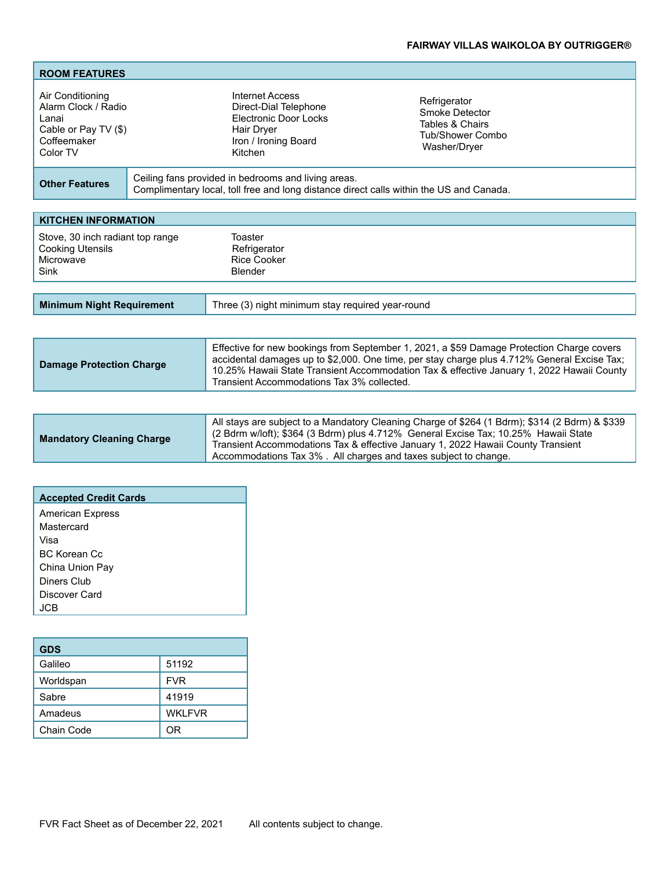# **FAIRWAY VILLAS WAIKOLOA BY OUTRIGGER®**

| <b>ROOM FEATURES</b>                                                                                |                                                                                                                                                |                                                                                       |
|-----------------------------------------------------------------------------------------------------|------------------------------------------------------------------------------------------------------------------------------------------------|---------------------------------------------------------------------------------------|
| Air Conditioning<br>Alarm Clock / Radio<br>Lanai<br>Cable or Pay TV (\$)<br>Coffeemaker<br>Color TV | Internet Access<br>Direct-Dial Telephone<br>Electronic Door Locks<br>Hair Dryer<br>Iron / Ironing Board<br>Kitchen                             | Refrigerator<br>Smoke Detector<br>Tables & Chairs<br>Tub/Shower Combo<br>Washer/Dryer |
| <b>Other Features</b>                                                                               | Ceiling fans provided in bedrooms and living areas.<br>Complimentary local, toll free and long distance direct calls within the US and Canada. |                                                                                       |

| Toaster<br>Refrigerator<br><b>Rice Cooker</b><br>Blender |  |
|----------------------------------------------------------|--|
|                                                          |  |
|                                                          |  |

| <b>Minimum Night Requirement</b> | Three (3) night minimum stay required year-round |
|----------------------------------|--------------------------------------------------|
|                                  |                                                  |

| <b>Damage Protection Charge</b> | Effective for new bookings from September 1, 2021, a \$59 Damage Protection Charge covers<br>accidental damages up to \$2,000. One time, per stay charge plus 4.712% General Excise Tax;<br>10.25% Hawaii State Transient Accommodation Tax & effective January 1, 2022 Hawaii County<br>Transient Accommodations Tax 3% collected. |
|---------------------------------|-------------------------------------------------------------------------------------------------------------------------------------------------------------------------------------------------------------------------------------------------------------------------------------------------------------------------------------|
|                                 |                                                                                                                                                                                                                                                                                                                                     |

| <b>Mandatory Cleaning Charge</b> | All stays are subject to a Mandatory Cleaning Charge of \$264 (1 Bdrm); \$314 (2 Bdrm) & \$339<br>  (2 Bdrm w/loft); \$364 (3 Bdrm) plus 4.712% General Excise Tax; 10.25% Hawaii State<br>Transient Accommodations Tax & effective January 1, 2022 Hawaii County Transient<br>Accommodations Tax 3%. All charges and taxes subject to change. |
|----------------------------------|------------------------------------------------------------------------------------------------------------------------------------------------------------------------------------------------------------------------------------------------------------------------------------------------------------------------------------------------|
|----------------------------------|------------------------------------------------------------------------------------------------------------------------------------------------------------------------------------------------------------------------------------------------------------------------------------------------------------------------------------------------|

| <b>Accepted Credit Cards</b> |  |
|------------------------------|--|
| <b>American Express</b>      |  |
| Mastercard                   |  |
| Visa                         |  |
| <b>BC Korean Cc</b>          |  |
| China Union Pay              |  |
| Diners Club                  |  |
| Discover Card                |  |
| IC:B                         |  |

| <b>GDS</b> |                |
|------------|----------------|
| Galileo    | 51192          |
| Worldspan  | <b>FVR</b>     |
| Sabre      | 41919          |
| Amadeus    | <b>WKI FVR</b> |
| Chain Code | ΩR             |